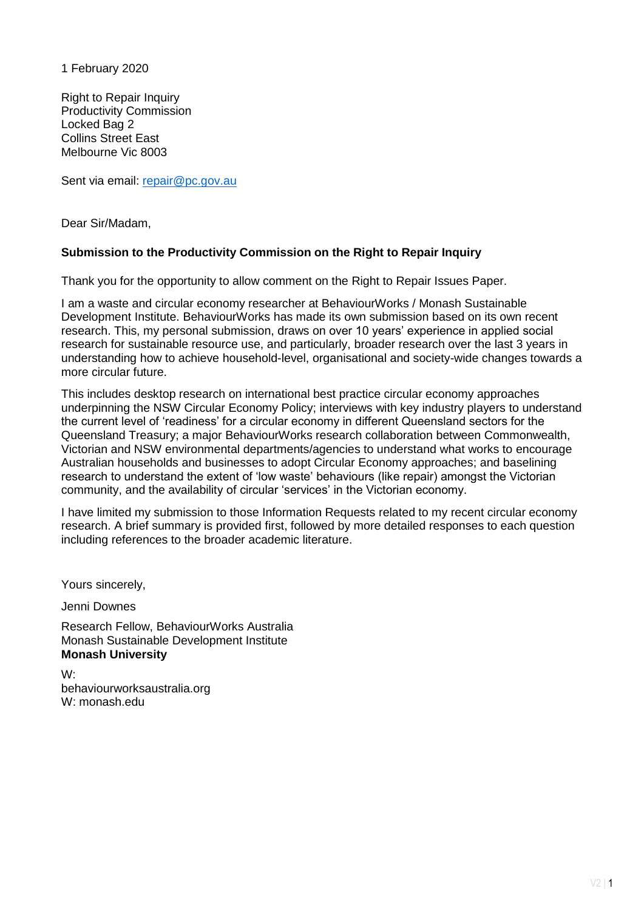1 February 2020

Right to Repair Inquiry Productivity Commission Locked Bag 2 Collins Street East Melbourne Vic 8003

Sent via email: [repair@pc.gov.au](mailto:repair@pc.gov.au)

Dear Sir/Madam,

#### **Submission to the Productivity Commission on the Right to Repair Inquiry**

Thank you for the opportunity to allow comment on the Right to Repair Issues Paper.

I am a waste and circular economy researcher at BehaviourWorks / Monash Sustainable Development Institute. BehaviourWorks has made its own submission based on its own recent research. This, my personal submission, draws on over 10 years' experience in applied social research for sustainable resource use, and particularly, broader research over the last 3 years in understanding how to achieve household-level, organisational and society-wide changes towards a more circular future.

This includes desktop research on international best practice circular economy approaches underpinning the NSW Circular Economy Policy; interviews with key industry players to understand the current level of 'readiness' for a circular economy in different Queensland sectors for the Queensland Treasury; a major BehaviourWorks research collaboration between Commonwealth, Victorian and NSW environmental departments/agencies to understand what works to encourage Australian households and businesses to adopt Circular Economy approaches; and baselining research to understand the extent of 'low waste' behaviours (like repair) amongst the Victorian community, and the availability of circular 'services' in the Victorian economy.

I have limited my submission to those Information Requests related to my recent circular economy research. A brief summary is provided first, followed by more detailed responses to each question including references to the broader academic literature.

Yours sincerely,

Jenni Downes

Research Fellow, BehaviourWorks Australia Monash Sustainable Development Institute **Monash University**

W: behaviourworksaustralia.org W: monash.edu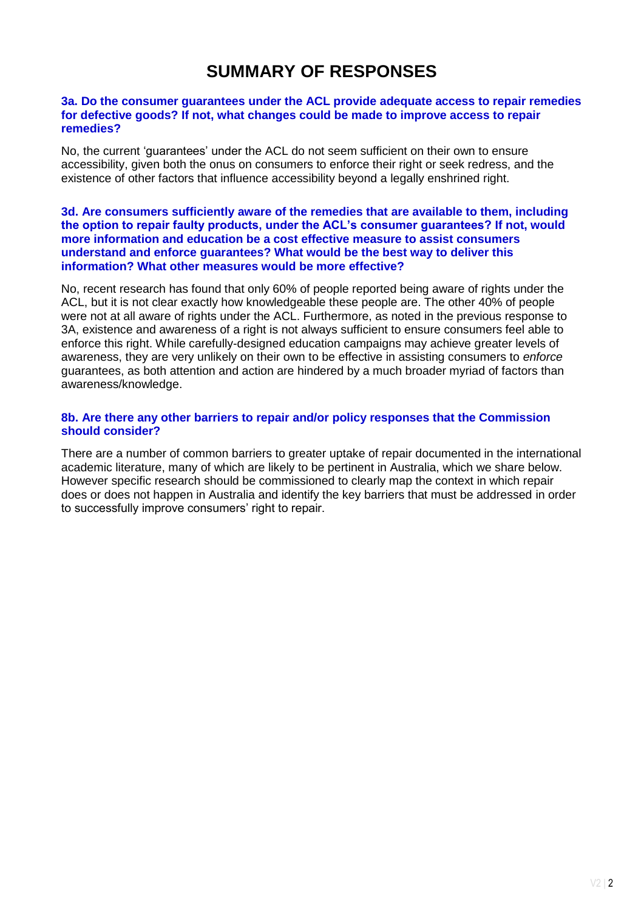# **SUMMARY OF RESPONSES**

#### **3a. Do the consumer guarantees under the ACL provide adequate access to repair remedies for defective goods? If not, what changes could be made to improve access to repair remedies?**

No, the current 'guarantees' under the ACL do not seem sufficient on their own to ensure accessibility, given both the onus on consumers to enforce their right or seek redress, and the existence of other factors that influence accessibility beyond a legally enshrined right.

#### **3d. Are consumers sufficiently aware of the remedies that are available to them, including the option to repair faulty products, under the ACL's consumer guarantees? If not, would more information and education be a cost effective measure to assist consumers understand and enforce guarantees? What would be the best way to deliver this information? What other measures would be more effective?**

No, recent research has found that only 60% of people reported being aware of rights under the ACL, but it is not clear exactly how knowledgeable these people are. The other 40% of people were not at all aware of rights under the ACL. Furthermore, as noted in the previous response to 3A, existence and awareness of a right is not always sufficient to ensure consumers feel able to enforce this right. While carefully-designed education campaigns may achieve greater levels of awareness, they are very unlikely on their own to be effective in assisting consumers to *enforce* guarantees, as both attention and action are hindered by a much broader myriad of factors than awareness/knowledge.

#### **8b. Are there any other barriers to repair and/or policy responses that the Commission should consider?**

There are a number of common barriers to greater uptake of repair documented in the international academic literature, many of which are likely to be pertinent in Australia, which we share below. However specific research should be commissioned to clearly map the context in which repair does or does not happen in Australia and identify the key barriers that must be addressed in order to successfully improve consumers' right to repair.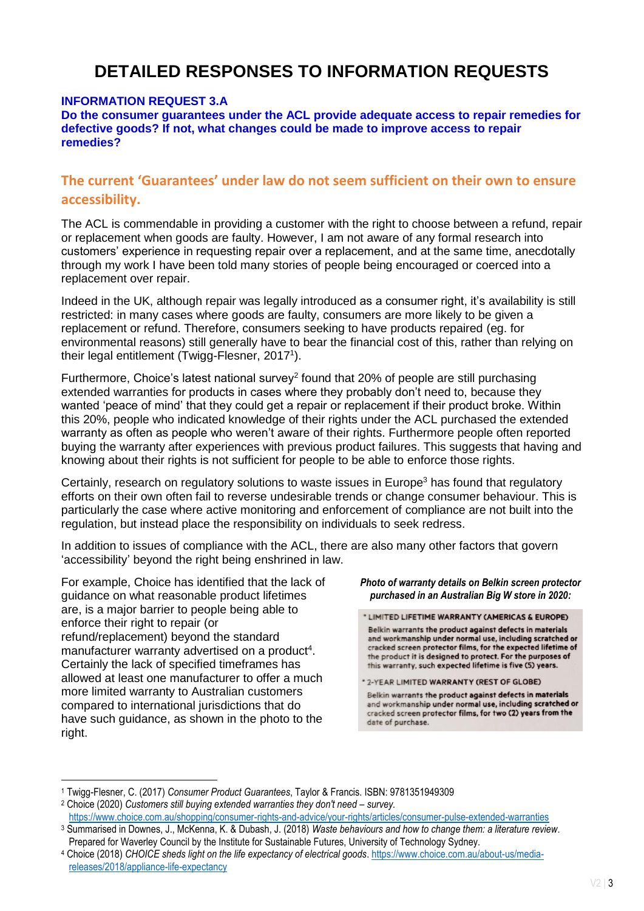# **DETAILED RESPONSES TO INFORMATION REQUESTS**

#### **INFORMATION REQUEST 3.A**

**Do the consumer guarantees under the ACL provide adequate access to repair remedies for defective goods? If not, what changes could be made to improve access to repair remedies?**

# **The current 'Guarantees' under law do not seem sufficient on their own to ensure accessibility.**

The ACL is commendable in providing a customer with the right to choose between a refund, repair or replacement when goods are faulty. However, I am not aware of any formal research into customers' experience in requesting repair over a replacement, and at the same time, anecdotally through my work I have been told many stories of people being encouraged or coerced into a replacement over repair.

Indeed in the UK, although repair was legally introduced as a consumer right, it's availability is still restricted: in many cases where goods are faulty, consumers are more likely to be given a replacement or refund. Therefore, consumers seeking to have products repaired (eg. for environmental reasons) still generally have to bear the financial cost of this, rather than relying on their legal entitlement (Twigg-Flesner, 2017 1 ).

Furthermore, Choice's latest national survey<sup>2</sup> found that 20% of people are still purchasing extended warranties for products in cases where they probably don't need to, because they wanted 'peace of mind' that they could get a repair or replacement if their product broke. Within this 20%, people who indicated knowledge of their rights under the ACL purchased the extended warranty as often as people who weren't aware of their rights. Furthermore people often reported buying the warranty after experiences with previous product failures. This suggests that having and knowing about their rights is not sufficient for people to be able to enforce those rights.

Certainly, research on regulatory solutions to waste issues in Europe<sup>3</sup> has found that regulatory efforts on their own often fail to reverse undesirable trends or change consumer behaviour. This is particularly the case where active monitoring and enforcement of compliance are not built into the regulation, but instead place the responsibility on individuals to seek redress.

In addition to issues of compliance with the ACL, there are also many other factors that govern 'accessibility' beyond the right being enshrined in law.

For example, Choice has identified that the lack of guidance on what reasonable product lifetimes are, is a major barrier to people being able to enforce their right to repair (or refund/replacement) beyond the standard manufacturer warranty advertised on a product<sup>4</sup>. Certainly the lack of specified timeframes has allowed at least one manufacturer to offer a much more limited warranty to Australian customers compared to international jurisdictions that do have such guidance, as shown in the photo to the right.

**.** 

*Photo of warranty details on Belkin screen protector purchased in an Australian Big W store in 2020:*

\* LIMITED LIFETIME WARRANTY (AMERICAS & EUROPE) Belkin warrants the product against defects in materials and workmanship under normal use, including scratched or cracked screen protector films, for the expected lifetime of the product it is designed to protect. For the purposes of this warranty, such expected lifetime is five (5) years.

Belkin warrants the product against defects in materials and workmanship under normal use, including scratched or cracked screen protector films, for two (2) years from the date of purchase.

<sup>\* 2-</sup>YEAR LIMITED WARRANTY (REST OF GLOBE)

<sup>1</sup> Twigg-Flesner, C. (2017) *Consumer Product Guarantees*, Taylor & Francis. ISBN: 9781351949309

<sup>&</sup>lt;sup>2</sup> Choice (2020) *Customers still buying extended warranties they don't need – survey.* <https://www.choice.com.au/shopping/consumer-rights-and-advice/your-rights/articles/consumer-pulse-extended-warranties>

<sup>3</sup> Summarised in Downes, J., McKenna, K. & Dubash, J. (2018) *Waste behaviours and how to change them: a literature review*. Prepared for Waverley Council by the Institute for Sustainable Futures, University of Technology Sydney.

<sup>4</sup> Choice (2018) *CHOICE sheds light on the life expectancy of electrical goods*[. https://www.choice.com.au/about-us/media](https://www.choice.com.au/about-us/media-releases/2018/appliance-life-expectancy)[releases/2018/appliance-life-expectancy](https://www.choice.com.au/about-us/media-releases/2018/appliance-life-expectancy)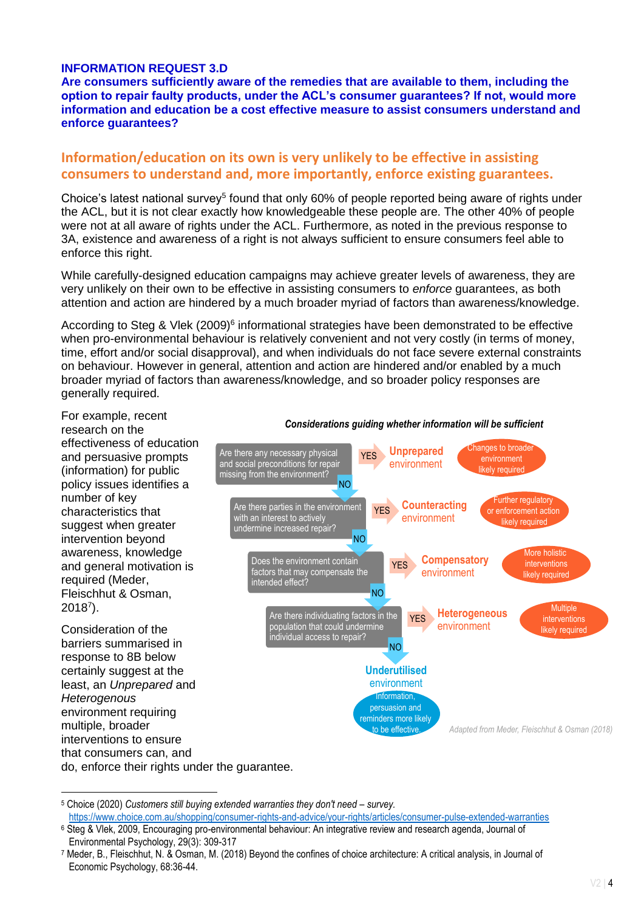### **INFORMATION REQUEST 3.D**

**Are consumers sufficiently aware of the remedies that are available to them, including the option to repair faulty products, under the ACL's consumer guarantees? If not, would more information and education be a cost effective measure to assist consumers understand and enforce guarantees?** 

## **Information/education on its own is very unlikely to be effective in assisting consumers to understand and, more importantly, enforce existing guarantees.**

Choice's latest national survey<sup>5</sup> found that only 60% of people reported being aware of rights under the ACL, but it is not clear exactly how knowledgeable these people are. The other 40% of people were not at all aware of rights under the ACL. Furthermore, as noted in the previous response to 3A, existence and awareness of a right is not always sufficient to ensure consumers feel able to enforce this right.

While carefully-designed education campaigns may achieve greater levels of awareness, they are very unlikely on their own to be effective in assisting consumers to *enforce* guarantees, as both attention and action are hindered by a much broader myriad of factors than awareness/knowledge.

According to Steg & Vlek (2009)<sup>6</sup> informational strategies have been demonstrated to be effective when pro-environmental behaviour is relatively convenient and not very costly (in terms of money, time, effort and/or social disapproval), and when individuals do not face severe external constraints on behaviour. However in general, attention and action are hindered and/or enabled by a much broader myriad of factors than awareness/knowledge, and so broader policy responses are generally required.

For example, recent research on the effectiveness of education and persuasive prompts (information) for public policy issues identifies a number of key characteristics that suggest when greater intervention beyond awareness, knowledge and general motivation is required (Meder, Fleischhut & Osman,  $2018<sup>7</sup>$ ).

**.** 

Consideration of the barriers summarised in response to 8B below certainly suggest at the least, an *Unprepared* and *Heterogenous* environment requiring multiple, broader interventions to ensure that consumers can, and do, enforce their rights under the guarantee.



#### *Considerations guiding whether information will be sufficient*

<sup>5</sup> Choice (2020) *Customers still buying extended warranties they don't need – survey.* <https://www.choice.com.au/shopping/consumer-rights-and-advice/your-rights/articles/consumer-pulse-extended-warranties>

<sup>6</sup> Steg & Vlek, 2009, Encouraging pro-environmental behaviour: An integrative review and research agenda, Journal of Environmental Psychology, 29(3): 309-317

<sup>7</sup> Meder, B., Fleischhut, N. & Osman, M. (2018) Beyond the confines of choice architecture: A critical analysis, in Journal of Economic Psychology, 68:36-44.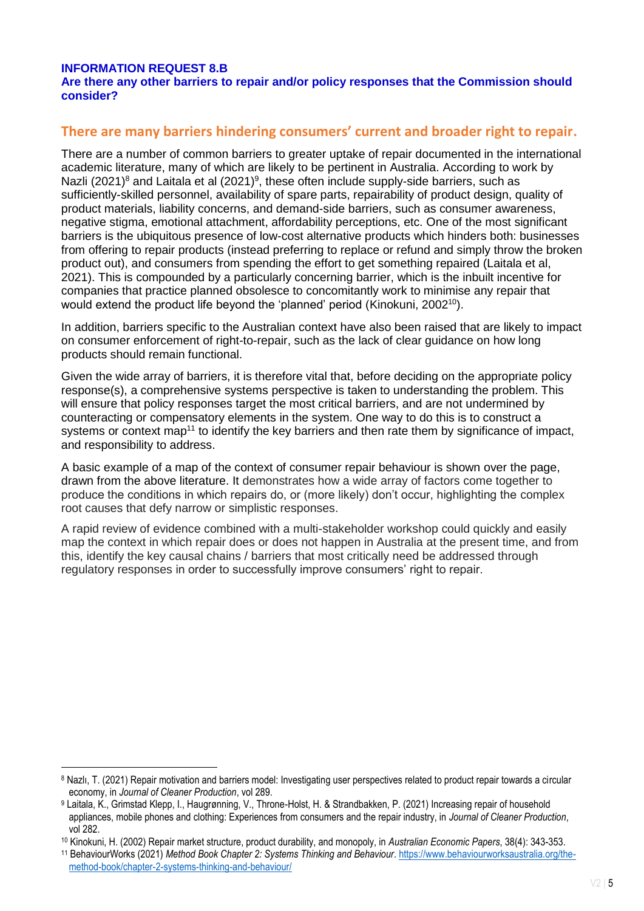### **INFORMATION REQUEST 8.B**

1

#### **Are there any other barriers to repair and/or policy responses that the Commission should consider?**

## **There are many barriers hindering consumers' current and broader right to repair.**

There are a number of common barriers to greater uptake of repair documented in the international academic literature, many of which are likely to be pertinent in Australia. According to work by Nazli (2021)<sup>8</sup> and Laitala et al (2021)<sup>9</sup>, these often include supply-side barriers, such as sufficiently-skilled personnel, availability of spare parts, repairability of product design, quality of product materials, liability concerns, and demand-side barriers, such as consumer awareness, negative stigma, emotional attachment, affordability perceptions, etc. One of the most significant barriers is the ubiquitous presence of low-cost alternative products which hinders both: businesses from offering to repair products (instead preferring to replace or refund and simply throw the broken product out), and consumers from spending the effort to get something repaired (Laitala et al, 2021). This is compounded by a particularly concerning barrier, which is the inbuilt incentive for companies that practice planned obsolesce to concomitantly work to minimise any repair that would extend the product life beyond the 'planned' period (Kinokuni, 2002<sup>10</sup>).

In addition, barriers specific to the Australian context have also been raised that are likely to impact on consumer enforcement of right-to-repair, such as the lack of clear guidance on how long products should remain functional.

Given the wide array of barriers, it is therefore vital that, before deciding on the appropriate policy response(s), a comprehensive systems perspective is taken to understanding the problem. This will ensure that policy responses target the most critical barriers, and are not undermined by counteracting or compensatory elements in the system. One way to do this is to construct a systems or context map<sup>11</sup> to identify the key barriers and then rate them by significance of impact, and responsibility to address.

A basic example of a map of the context of consumer repair behaviour is shown over the page, drawn from the above literature. It demonstrates how a wide array of factors come together to produce the conditions in which repairs do, or (more likely) don't occur, highlighting the complex root causes that defy narrow or simplistic responses.

A rapid review of evidence combined with a multi-stakeholder workshop could quickly and easily map the context in which repair does or does not happen in Australia at the present time, and from this, identify the key causal chains / barriers that most critically need be addressed through regulatory responses in order to successfully improve consumers' right to repair.

<sup>8</sup> Nazlı, T. (2021) Repair motivation and barriers model: Investigating user perspectives related to product repair towards a circular economy, in *Journal of Cleaner Production*, vol 289.

<sup>9</sup> Laitala, K., Grimstad Klepp, I., Haugrønning, V., Throne-Holst, H. & Strandbakken, P. (2021) Increasing repair of household appliances, mobile phones and clothing: Experiences from consumers and the repair industry, in *Journal of Cleaner Production*, vol 282.

<sup>10</sup> Kinokuni, H. (2002) Repair market structure, product durability, and monopoly, in *Australian Economic Papers*, 38(4): 343-353.

<sup>11</sup> BehaviourWorks (2021) *Method Book Chapter 2: Systems Thinking and Behaviour*. [https://www.behaviourworksaustralia.org/the](https://www.behaviourworksaustralia.org/the-method-book/chapter-2-systems-thinking-and-behaviour/)[method-book/chapter-2-systems-thinking-and-behaviour/](https://www.behaviourworksaustralia.org/the-method-book/chapter-2-systems-thinking-and-behaviour/)